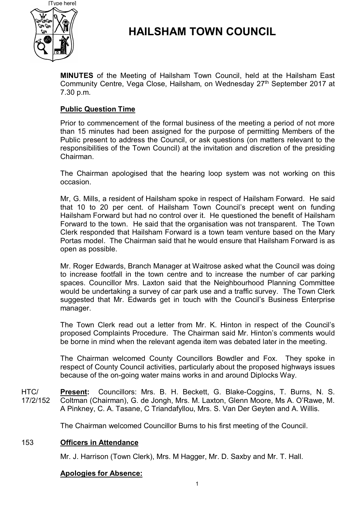

# **HAILSHAM TOWN COUNCIL**

**MINUTES** of the Meeting of Hailsham Town Council, held at the Hailsham East Community Centre, Vega Close, Hailsham, on Wednesday 27<sup>th</sup> September 2017 at 7.30 p.m.

### **Public Question Time**

Prior to commencement of the formal business of the meeting a period of not more than 15 minutes had been assigned for the purpose of permitting Members of the Public present to address the Council, or ask questions (on matters relevant to the responsibilities of the Town Council) at the invitation and discretion of the presiding Chairman.

The Chairman apologised that the hearing loop system was not working on this occasion.

Mr, G. Mills, a resident of Hailsham spoke in respect of Hailsham Forward. He said that 10 to 20 per cent. of Hailsham Town Council's precept went on funding Hailsham Forward but had no control over it. He questioned the benefit of Hailsham Forward to the town. He said that the organisation was not transparent. The Town Clerk responded that Hailsham Forward is a town team venture based on the Mary Portas model. The Chairman said that he would ensure that Hailsham Forward is as open as possible.

Mr. Roger Edwards, Branch Manager at Waitrose asked what the Council was doing to increase footfall in the town centre and to increase the number of car parking spaces. Councillor Mrs. Laxton said that the Neighbourhood Planning Committee would be undertaking a survey of car park use and a traffic survey. The Town Clerk suggested that Mr. Edwards get in touch with the Council's Business Enterprise manager.

The Town Clerk read out a letter from Mr. K. Hinton in respect of the Council's proposed Complaints Procedure. The Chairman said Mr. Hinton's comments would be borne in mind when the relevant agenda item was debated later in the meeting.

The Chairman welcomed County Councillors Bowdler and Fox. They spoke in respect of County Council activities, particularly about the proposed highways issues because of the on-going water mains works in and around Diplocks Way.

 $HTC/$ 17/2/152 **Present:** Councillors: Mrs. B. H. Beckett, G. Blake-Coggins, T. Burns, N. S. Coltman (Chairman), G. de Jongh, Mrs. M. Laxton, Glenn Moore, Ms A. O'Rawe, M. A Pinkney, C. A. Tasane, C Triandafyllou, Mrs. S. Van Der Geyten and A. Willis.

The Chairman welcomed Councillor Burns to his first meeting of the Council.

### 153 **Officers in Attendance**

Mr. J. Harrison (Town Clerk), Mrs. M Hagger, Mr. D. Saxby and Mr. T. Hall.

### **Apologies for Absence:**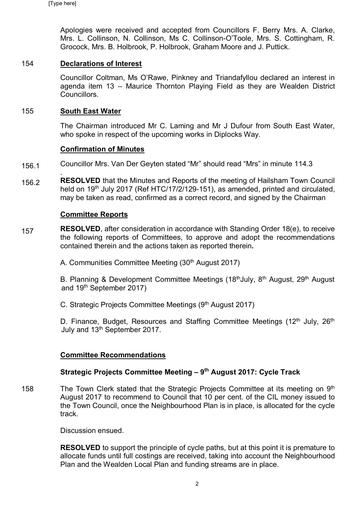Apologies were received and accepted from Councillors F. Berry Mrs. A. Clarke, Mrs. L. Collinson, N. Collinson, Ms C. Collinson-O'Toole, Mrs. S. Cottingham, R. Grocock, Mrs. B. Holbrook, P. Holbrook, Graham Moore and J. Puttick.

### 154 **Declarations of Interest**

Councillor Coltman, Ms O'Rawe, Pinkney and Triandafyllou declared an interest in agenda item 13 – Maurice Thornton Playing Field as they are Wealden District Councillors.

### 155 **South East Water**

The Chairman introduced Mr C. Laming and Mr J Dufour from South East Water, who spoke in respect of the upcoming works in Diplocks Way.

### **Confirmation of Minutes**

- 156.1 Councillor Mrs. Van Der Geyten stated "Mr" should read "Mrs" in minute 114.3
- 156.2 . **RESOLVED** that the Minutes and Reports of the meeting of Hailsham Town Council held on 19<sup>th</sup> July 2017 (Ref HTC/17/2/129-151), as amended, printed and circulated, may be taken as read, confirmed as a correct record, and signed by the Chairman

### **Committee Reports**

- 157 **RESOLVED**, after consideration in accordance with Standing Order 18(e), to receive the following reports of Committees, to approve and adopt the recommendations contained therein and the actions taken as reported therein**.**
	- A. Communities Committee Meeting (30<sup>th</sup> August 2017)

B. Planning & Development Committee Meetings (18<sup>th</sup> July, 8<sup>th</sup> August, 29<sup>th</sup> August and 19th September 2017)

C. Strategic Projects Committee Meetings (9<sup>th</sup> August 2017)

D. Finance, Budget, Resources and Staffing Committee Meetings  $(12<sup>th</sup>$  July,  $26<sup>th</sup>$ July and 13<sup>th</sup> September 2017.

## **Committee Recommendations**

## **Strategic Projects Committee Meeting – 9 th August 2017: Cycle Track**

158 The Town Clerk stated that the Strategic Projects Committee at its meeting on 9<sup>th</sup> August 2017 to recommend to Council that 10 per cent. of the CIL money issued to the Town Council, once the Neighbourhood Plan is in place, is allocated for the cycle track.

Discussion ensued.

**RESOLVED** to support the principle of cycle paths, but at this point it is premature to allocate funds until full costings are received, taking into account the Neighbourhood Plan and the Wealden Local Plan and funding streams are in place.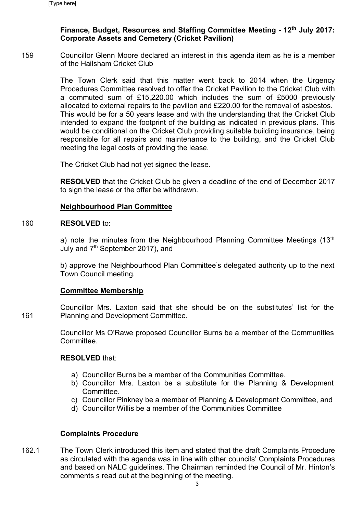### **Finance, Budget, Resources and Staffing Committee Meeting - 12th July 2017: Corporate Assets and Cemetery (Cricket Pavilion)**

159 Councillor Glenn Moore declared an interest in this agenda item as he is a member of the Hailsham Cricket Club

> The Town Clerk said that this matter went back to 2014 when the Urgency Procedures Committee resolved to offer the Cricket Pavilion to the Cricket Club with a commuted sum of £15,220.00 which includes the sum of £5000 previously allocated to external repairs to the pavilion and £220.00 for the removal of asbestos. This would be for a 50 years lease and with the understanding that the Cricket Club intended to expand the footprint of the building as indicated in previous plans. This would be conditional on the Cricket Club providing suitable building insurance, being responsible for all repairs and maintenance to the building, and the Cricket Club meeting the legal costs of providing the lease.

The Cricket Club had not yet signed the lease.

**RESOLVED** that the Cricket Club be given a deadline of the end of December 2017 to sign the lease or the offer be withdrawn.

### **Neighbourhood Plan Committee**

#### 160 **RESOLVED** to:

a) note the minutes from the Neighbourhood Planning Committee Meetings  $(13<sup>th</sup>)$ July and 7th September 2017), and

b) approve the Neighbourhood Plan Committee's delegated authority up to the next Town Council meeting.

### **Committee Membership**

161 Councillor Mrs. Laxton said that she should be on the substitutes' list for the Planning and Development Committee.

> Councillor Ms O'Rawe proposed Councillor Burns be a member of the Communities **Committee**

### **RESOLVED** that:

- a) Councillor Burns be a member of the Communities Committee.
- b) Councillor Mrs. Laxton be a substitute for the Planning & Development **Committee**
- c) Councillor Pinkney be a member of Planning & Development Committee, and
- d) Councillor Willis be a member of the Communities Committee

### **Complaints Procedure**

162.1 The Town Clerk introduced this item and stated that the draft Complaints Procedure as circulated with the agenda was in line with other councils' Complaints Procedures and based on NALC guidelines. The Chairman reminded the Council of Mr. Hinton's comments s read out at the beginning of the meeting.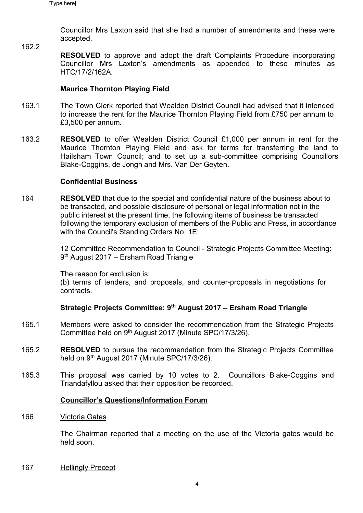162.2

Councillor Mrs Laxton said that she had a number of amendments and these were accepted.

**RESOLVED** to approve and adopt the draft Complaints Procedure incorporating Councillor Mrs Laxton's amendments as appended to these minutes as HTC/17/2/162A.

### **Maurice Thornton Playing Field**

- 163.1 The Town Clerk reported that Wealden District Council had advised that it intended to increase the rent for the Maurice Thornton Playing Field from £750 per annum to £3,500 per annum.
- 163.2 **RESOLVED** to offer Wealden District Council £1,000 per annum in rent for the Maurice Thornton Playing Field and ask for terms for transferring the land to Hailsham Town Council; and to set up a sub-committee comprising Councillors Blake-Coggins, de Jongh and Mrs. Van Der Geyten.

### **Confidential Business**

164 **RESOLVED** that due to the special and confidential nature of the business about to be transacted, and possible disclosure of personal or legal information not in the public interest at the present time, the following items of business be transacted following the temporary exclusion of members of the Public and Press, in accordance with the Council's Standing Orders No. 1E:

> 12 Committee Recommendation to Council - Strategic Projects Committee Meeting: 9<sup>th</sup> August 2017 – Ersham Road Triangle

The reason for exclusion is:

(b) terms of tenders, and proposals, and counter-proposals in negotiations for contracts.

## **Strategic Projects Committee: 9 th August 2017 – Ersham Road Triangle**

- 165.1 Members were asked to consider the recommendation from the Strategic Projects Committee held on 9<sup>th</sup> August 2017 (Minute SPC/17/3/26).
- 165.2 **RESOLVED** to pursue the recommendation from the Strategic Projects Committee held on 9<sup>th</sup> August 2017 (Minute SPC/17/3/26).
- 165.3 This proposal was carried by 10 votes to 2. Councillors Blake-Coggins and Triandafyllou asked that their opposition be recorded.

### **Councillor's Questions/Information Forum**

166 Victoria Gates

> The Chairman reported that a meeting on the use of the Victoria gates would be held soon.

167 Hellingly Precept